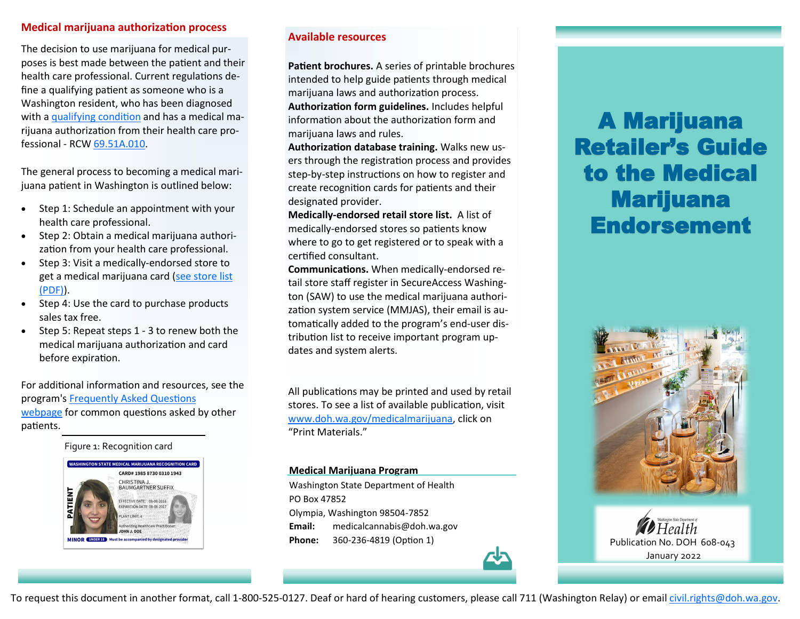# **Medical marijuana authorization process**

The decision to use marijuana for medical purposes is best made between the patient and their health care professional. Current regulations define a qualifying patient as someone who is a Washington resident, who has been diagnosed with a [qualifying condition](https://www.doh.wa.gov/YouandYourFamily/Marijuana/MedicalMarijuana/PatientInformation/QualifyingConditions) and has a medical marijuana authorization from their health care professional - RCW [69.51A.010.](https://app.leg.wa.gov/RCW/default.aspx?cite=69.51A.010)

The general process to becoming a medical marijuana patient in Washington is outlined below:

- Step 1: Schedule an appointment with your health care professional.
- Step 2: Obtain a medical marijuana authorization from your health care professional.
- Step 3: Visit a medically-endorsed store to get a medical marijuana card ([see store list](https://www.doh.wa.gov/Portals/1/Documents/Pubs/608017.pdf)  [\(PDF\)\)](https://www.doh.wa.gov/Portals/1/Documents/Pubs/608017.pdf).
- Step 4: Use the card to purchase products sales tax free.
- Step 5: Repeat steps 1 3 to renew both the medical marijuana authorization and card before expiration.

For additional information and resources, see the program's [Frequently Asked Questions](https://www.doh.wa.gov/YouandYourFamily/Marijuana/MedicalMarijuana/PatientInformation/FrequentlyAskedQuestions)  [webpage](https://www.doh.wa.gov/YouandYourFamily/Marijuana/MedicalMarijuana/PatientInformation/FrequentlyAskedQuestions) for common questions asked by other patients.

Figure 1: Recognition card



# **Available resources**

**Patient brochures.** A series of printable brochures intended to help guide patients through medical marijuana laws and authorization process. **Authorization form guidelines.** Includes helpful information about the authorization form and marijuana laws and rules.

**Authorization database training.** Walks new users through the registration process and provides step-by-step instructions on how to register and create recognition cards for patients and their designated provider.

**Medically-endorsed retail store list.** A list of medically-endorsed stores so patients know where to go to get registered or to speak with a certified consultant.

**Communications.** When medically-endorsed retail store staff register in SecureAccess Washington (SAW) to use the medical marijuana authorization system service (MMJAS), their email is automatically added to the program's end-user distribution list to receive important program updates and system alerts.

All publications may be printed and used by retail stores. To see a list of available publication, visit [www.doh.wa.gov/medicalmarijuana,](http://www.doh.wa.gov/medicalmarijuana) click on "Print Materials."

#### **Medical Marijuana Program**

Washington State Department of Health PO Box 47852 Olympia, Washington 98504-7852 **Email:** medicalcannabis@doh.wa.gov **Phone:** 360-236-4819 (Option 1) **Phone:** Publication No. DOH 608-043

# A Marijuana Retailer's Guide to the Medical Marijuana Endorsement





To request this document in another format, call 1-800-525-0127. Deaf or hard of hearing customers, please call 711 (Washington Relay) or email [civil.rights@doh.wa.gov.](mailto:civil.rights@doh.wa.gov)